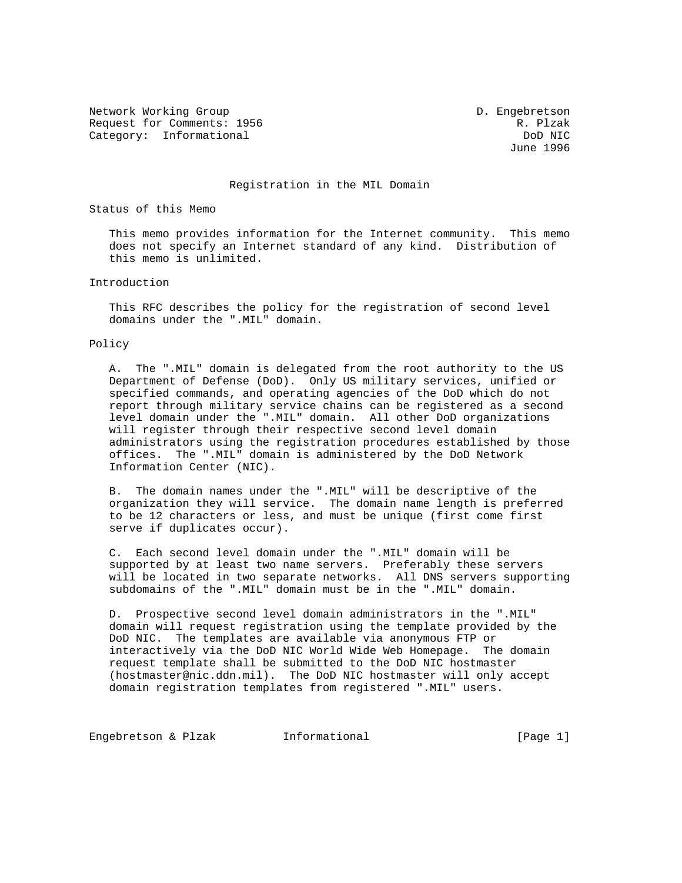Network Working Group D. Engebretson Request for Comments: 1956 Request for Comments: 1956 R. Plzak<br>Category: Informational Research Republic Research Research Research Research Research Research Research Resear Category: Informational DoD NIC DoD NIC<br>
Unne 1996

June 1996

## Registration in the MIL Domain

Status of this Memo

 This memo provides information for the Internet community. This memo does not specify an Internet standard of any kind. Distribution of this memo is unlimited.

## Introduction

 This RFC describes the policy for the registration of second level domains under the ".MIL" domain.

## Policy

 A. The ".MIL" domain is delegated from the root authority to the US Department of Defense (DoD). Only US military services, unified or specified commands, and operating agencies of the DoD which do not report through military service chains can be registered as a second level domain under the ".MIL" domain. All other DoD organizations will register through their respective second level domain administrators using the registration procedures established by those offices. The ".MIL" domain is administered by the DoD Network Information Center (NIC).

 B. The domain names under the ".MIL" will be descriptive of the organization they will service. The domain name length is preferred to be 12 characters or less, and must be unique (first come first serve if duplicates occur).

 C. Each second level domain under the ".MIL" domain will be supported by at least two name servers. Preferably these servers will be located in two separate networks. All DNS servers supporting subdomains of the ".MIL" domain must be in the ".MIL" domain.

 D. Prospective second level domain administrators in the ".MIL" domain will request registration using the template provided by the DoD NIC. The templates are available via anonymous FTP or interactively via the DoD NIC World Wide Web Homepage. The domain request template shall be submitted to the DoD NIC hostmaster (hostmaster@nic.ddn.mil). The DoD NIC hostmaster will only accept domain registration templates from registered ".MIL" users.

Engebretson & Plzak Informational (Page 1)